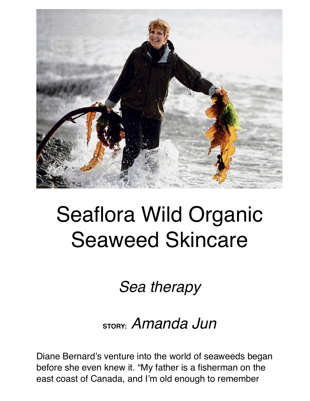

## Seaflora Wild Organic Seaweed Skincare

*Sea therapy*

## **STORY:** *Amanda Jun*

Diane Bernard's venture into the world of seaweeds began before she even knew it. "My father is a fisherman on the east coast of Canada, and I'm old enough to remember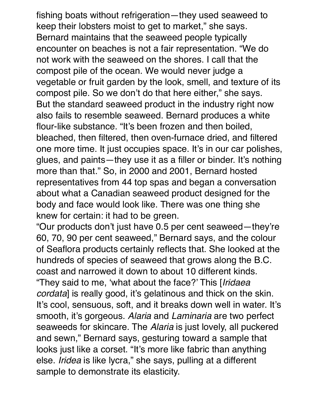fishing boats without refrigeration—they used seaweed to keep their lobsters moist to get to market," she says. Bernard maintains that the seaweed people typically encounter on beaches is not a fair representation. "We do not work with the seaweed on the shores. I call that the compost pile of the ocean. We would never judge a vegetable or fruit garden by the look, smell, and texture of its compost pile. So we don't do that here either," she says. But the standard seaweed product in the industry right now also fails to resemble seaweed. Bernard produces a white flour-like substance. "It's been frozen and then boiled, bleached, then filtered, then oven-furnace dried, and filtered one more time. It just occupies space. It's in our car polishes, glues, and paints—they use it as a filler or binder. It's nothing more than that." So, in 2000 and 2001, Bernard hosted representatives from 44 top spas and began a conversation about what a Canadian seaweed product designed for the body and face would look like. There was one thing she knew for certain: it had to be green.

"Our products don't just have 0.5 per cent seaweed—they're 60, 70, 90 per cent seaweed," Bernard says, and the colour of Seaflora products certainly reflects that. She looked at the hundreds of species of seaweed that grows along the B.C. coast and narrowed it down to about 10 different kinds. "They said to me, 'what about the face?' This [*Iridaea cordata*] is really good, it's gelatinous and thick on the skin. It's cool, sensuous, soft, and it breaks down well in water. It's smooth, it's gorgeous. *Alaria* and *Laminaria* are two perfect seaweeds for skincare. The *Alaria* is just lovely, all puckered and sewn," Bernard says, gesturing toward a sample that looks just like a corset. "It's more like fabric than anything else. *Iridea* is like lycra," she says, pulling at a different sample to demonstrate its elasticity.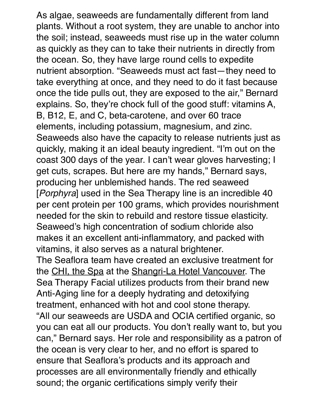As algae, seaweeds are fundamentally different from land plants. Without a root system, they are unable to anchor into the soil; instead, seaweeds must rise up in the water column as quickly as they can to take their nutrients in directly from the ocean. So, they have large round cells to expedite nutrient absorption. "Seaweeds must act fast—they need to take everything at once, and they need to do it fast because once the tide pulls out, they are exposed to the air," Bernard explains. So, they're chock full of the good stuff: vitamins A, B, B12, E, and C, beta-carotene, and over 60 trace elements, including potassium, magnesium, and zinc. Seaweeds also have the capacity to release nutrients just as quickly, making it an ideal beauty ingredient. "I'm out on the coast 300 days of the year. I can't wear gloves harvesting; I get cuts, scrapes. But here are my hands," Bernard says, producing her unblemished hands. The red seaweed [*Porphyra*] used in the Sea Therapy line is an incredible 40 per cent protein per 100 grams, which provides nourishment needed for the skin to rebuild and restore tissue elasticity. Seaweed's high concentration of sodium chloride also makes it an excellent anti-inflammatory, and packed with vitamins, it also serves as a natural brightener. The Seaflora team have created an exclusive treatment for the [CHI, the Spa](http://montecristomagazine.com/magazine/winter-2013/chi-the-spa-at-shangri-la) at the [Shangri-La Hotel Vancouver.](http://montecristomagazine.com/the-guide/hotels-and-resorts/shangri-la-hotel-vancouver) The Sea Therapy Facial utilizes products from their brand new Anti-Aging line for a deeply hydrating and detoxifying treatment, enhanced with hot and cool stone therapy. "All our seaweeds are USDA and OCIA certified organic, so you can eat all our products. You don't really want to, but you can," Bernard says. Her role and responsibility as a patron of the ocean is very clear to her, and no effort is spared to ensure that Seaflora's products and its approach and processes are all environmentally friendly and ethically sound; the organic certifications simply verify their